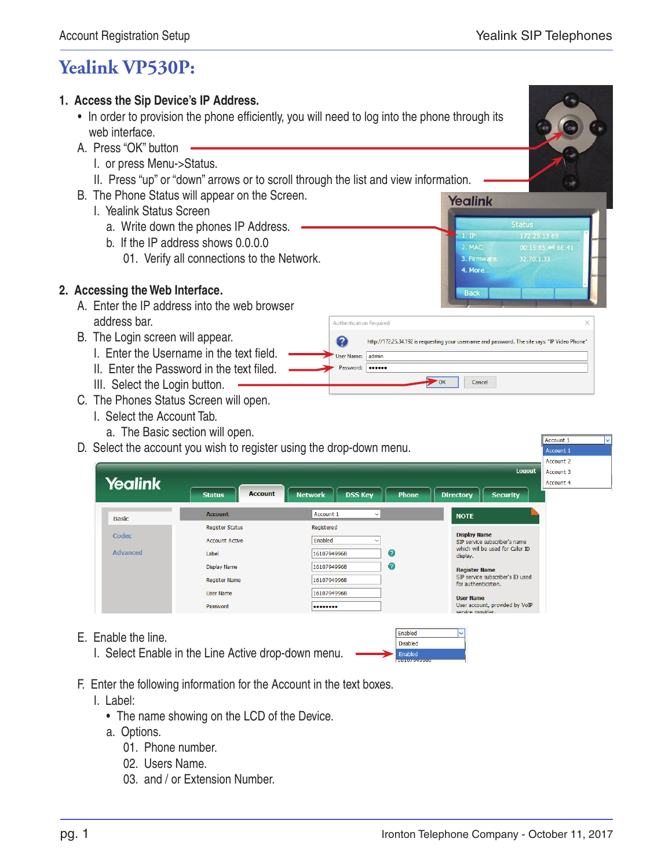## **Yealink VP530P:**

## **1. Access the Sip Device's IP Address.**

- In order to provision the phone efficiently, you will need to log into the phone through its web interface.
- A. Press "OK" button
	- I. or press Menu->Status.
	- II. Press "up" or "down" arrows or to scroll through the list and view information.
- B. The Phone Status will appear on the Screen.
	- I. Yealink Status Screen
		- a. Write down the phones IP Address.
		- b. If the IP address shows 0.0.0.0
			- 01. Verify all connections to the Network.

## **2. Accessing the Web Interface.**

- A. Enter the IP address into the web browser address bar.
- B. The Login screen will appear.
	- I. Enter the Username in the text field.
	- II. Enter the Password in the text filed.
	- III. Select the Login button.
- C. The Phones Status Screen will open.
	- I. Select the Account Tab.
		- a. The Basic section will open.
- D. Select the account you wish to register using the drop-down menu.

|                 |                                 |                                                  | ACCOUNT Z                                               |  |
|-----------------|---------------------------------|--------------------------------------------------|---------------------------------------------------------|--|
|                 |                                 |                                                  | <b>Logout</b><br>Account 3                              |  |
| <b>Yealink</b>  |                                 |                                                  | Account 4                                               |  |
|                 | <b>Account</b><br><b>Status</b> | <b>DSS Key</b><br><b>Network</b><br><b>Phone</b> | <b>Directory</b><br><b>Security</b>                     |  |
| <b>Basic</b>    | <b>Account</b>                  | Account 1<br>$\checkmark$                        | <b>NOTE</b>                                             |  |
|                 | <b>Register Status</b>          | Registered                                       |                                                         |  |
| Codec           | <b>Account Active</b>           | Enabled<br>$\checkmark$                          | <b>Display Name</b><br>SIP service subscriber's name    |  |
| <b>Advanced</b> | Label                           | Ø<br>16107949968                                 | which will be used for Caller ID<br>display.            |  |
|                 | Display Name                    | Ø<br>16107949968                                 | <b>Register Name</b>                                    |  |
|                 | <b>Register Name</b>            | 16107949968                                      | SIP service subscriber's ID used<br>for authentication. |  |
|                 | <b>User Name</b>                | 16107949968                                      | <b>User Name</b>                                        |  |
|                 | Password                        |                                                  | User account, provided by VoIP<br>service provider.     |  |
|                 |                                 |                                                  |                                                         |  |
| Fronto the line |                                 | Enabled                                          | $\overline{\mathsf{v}}$                                 |  |

Disabled

**Authentication Required** 

 $me:$  admi

Password: **\*\*\*\*\*\*** 

 $\boldsymbol{\Omega}$ 

.<br>Hiser Ni

- E. Enable the line.
	- I. Select Enable in the Line Active drop-down menu.
- F. Enter the following information for the Account in the text boxes.
	- I. Label:
		- The name showing on the LCD of the Device.
		- a. Options.
			- 01. Phone number.
			- 02. Users Name.
			- 03. and / or Extension Number.

**Yealink** 

 $1.$  IP:

2. MAC: 3. Firmware:

4. More..

**Back** 

http://172.25.34.192 is requesting your username and password. The site says: "IP Video Phone"

Cancel

 $\rightarrow \infty$ 

**Status** 

172.25.13.69

Account 1

32.70.1.33